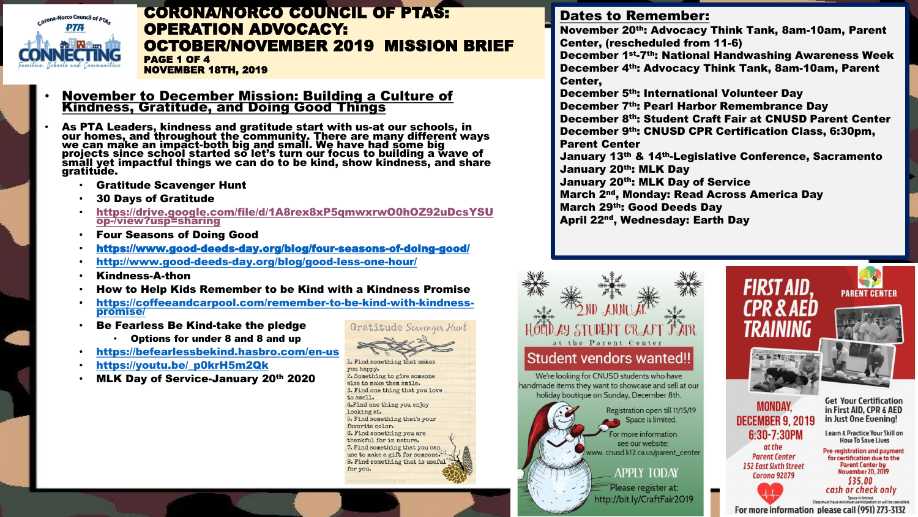

#### CORONA/NORCO COUNCIL OF PTAS: OPERATION ADVOCACY: OCTOBER/NOVEMBER 2019 MISSION BRIEF PAGE 1 OF 4 NOVEMBER 18TH, 2019

#### • November to December Mission: Building a Culture of Kindness, Gratitude, and Doing Good Things

- As PTA Leaders, kindness and gratitude start with us-at our schools, in our homes, and throughout the community. There are many different ways we can make an impact-both big and small. We have had some big projects since school started so let's turn our focus to building a wave of small yet impactful things we can do to be kind, show kindness, and share gratitude.
	- Gratitude Scavenger Hunt
	- 30 Days of Gratitude
	- https://drive.google.com/file/d/1A8rex8xP5qmwxrwO0hOZ92uDcsYSU op-/view?usp=sharing
	- Four Seasons of Doing Good
	- https://www.good-deeds-day.org/blog/four-seasons-of-doing-good/
	- http://www.good-deeds-day.org/blog/good-less-one-hour/
	- Kindness-A-thon
	- How to Help Kids Remember to be Kind with a Kindness Promise
	- https://coffeeandcarpool.com/remember-to-be-kind-with-kindnesspromise/
	- Be Fearless Be Kind-take the pledge
		- Options for under 8 and 8 and up
	- https://befearlessbekind.hasbro.com/en-us
	- https://youtu.be/\_p0krH5m2Qk
	- MLK Day of Service-January 20th 2020



1. Find something that makes you happy. 2. Something to give someone else to make them smile. 3. Find one thing that you love to smell. 4. Find one thing you enjoy looking at. 5. Find something that's your favorite color. 6. Find something you are thankful for in nature. 7. Find something that you can use to make a gift for someone. 8. Find something that is useful for you.

#### Dates to Remember:

November 20th: Advocacy Think Tank, 8am-10am, Parent Center, (rescheduled from 11-6)

December 1st-7th: National Handwashing Awareness Week December 4th: Advocacy Think Tank, 8am-10am, Parent Center,

December 5th: International Volunteer Day December 7th: Pearl Harbor Remembrance Day December 8th: Student Craft Fair at CNUSD Parent Center December 9th: CNUSD CPR Certification Class, 6:30pm, Parent Center

January 13th & 14th-Legislative Conference, Sacramento January 20<sup>th</sup>: MLK Day

FIRST AID.

TRAINING

**SEPTEMBER** 

**MONDAY.** 

**DECEMBER 9. 2019** 

6:30-7:30PM

at the

**Parent Center** 

**152 East Sixth Street** 

Corona 92879

January 20th: MLK Day of Service

March 2nd, Monday: Read Across America Day March 29th: Good Deeds Day

April 22nd, Wednesday: Earth Day

## at the Parent Center **Student vendors wanted!!** We're looking for CNUSD students who have

handmade items they want to showcase and sell at our holiday boutique on Sunday, December 8th. •

Registration open till 11/15/19 Space is limited. For more information see our website: www.cnusd.k12.ca.us/parent\_center

**APPLY TODAY** Please register at: http://bit.ly/CraftFair2019



**PARENT CENTER** 

Learn & Practice Your Skill on **How To Save Lives** 

**Pre-registration and payment** for certification due to the

Space is limited. Class must have minimum participation or will be cancelled

For more information please call (951) 273-3132

**Parent Center by<br>November 20, 2019** \$35.00 cash or check only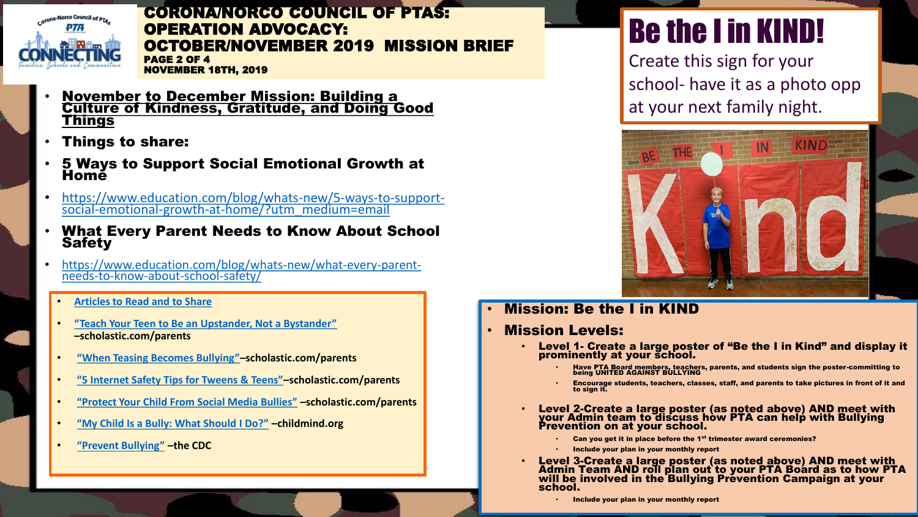

CORONA/NORCO COUNCIL OF PTAS: OPERATION ADVOCACY: OCTOBER/NOVEMBER 2019 MISSION BRIEF PAGE 2 OF 4

- NOVEMBER 18TH, 2019
- November to December Mission: Building a Culture of Kindness, Gratitude, and Doing Good **Things**
- Things to share:
- 5 Ways to Support Social Emotional Growth at Home
- https://www.education.com/blog/whats-new/5-ways-to-supportsocial-emotional-growth-at-home/?utm\_medium=email
- What Every Parent Needs to Know About School **Safety**
- https://www.education.com/blog/whats-new/what-every-parentneeds-to-know-about-school-safety/
	- **Articles to Read and to Share**
	- **"Teach Your Teen to Be an Upstander, Not a Bystander" –scholastic.com/parents**
	- **"When Teasing Becomes Bullying"–scholastic.com/parents**
	- **"5 Internet Safety Tips for Tweens & Teens"–scholastic.com/parents**
	- **"Protect Your Child From Social Media Bullies" –scholastic.com/parents**
	- **"My Child Is a Bully: What Should I Do?" –childmind.org**
	- **"Prevent Bullying" –the CDC**

# Be the I in KIND!

Create this sign for your school- have it as a photo opp at your next family night.



• Mission: Be the I in KIND

#### • Mission Levels:

- Level 1- Create a large poster of "Be the I in Kind" and display it prominently at your school.
	- Have PTA Board members, teachers, parents, and students sign the poster-committing to being UNITED AGAINST BULLYING
	- Encourage students, teachers, classes, staff, and parents to take pictures in front of it and to sign it.
- Level 2-Create a large poster (as noted above) AND meet with your Admin team to discuss how PTA can help with Bullying Prevention on at your school.
	- Can you get it in place before the 1<sup>st</sup> trimester award ceremonies?
	- Include your plan in your monthly report
- Level 3-Create a large poster (as noted above) AND meet with Admin Team AND roll plan out to your PTA Board as to how PTA will be involved in the Bullying Prevention Campaign at your school.
	- Include your plan in your monthly report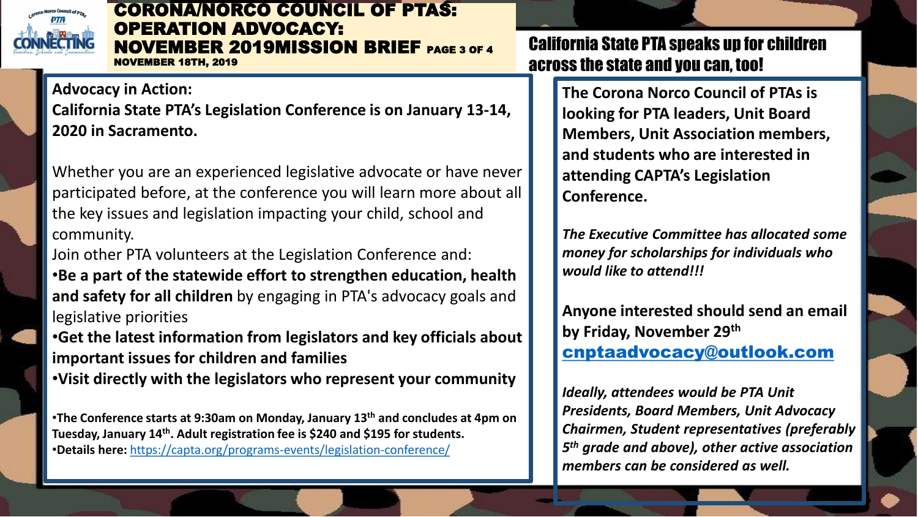

#### CORONA/NORCO COUNCIL OF PTAS: OPERATION ADVOCACY: NOVEMBER 2019MISSION BRIEF PAGE 3 OF 4 NOVEMBER 18TH, 2019

**Advocacy in Action: California State PTA's Legislation Conference is on January 13-14, 2020 in Sacramento.**

Whether you are an experienced legislative advocate or have never participated before, at the conference you will learn more about all the key issues and legislation impacting your child, school and community.

Join other PTA volunteers at the Legislation Conference and: •**Be a part of the statewide effort to strengthen education, health and safety for all children** by engaging in PTA's advocacy goals and legislative priorities

•**Get the latest information from legislators and key officials about important issues for children and families** •**Visit directly with the legislators who represent your community**

•**The Conference starts at 9:30am on Monday, January 13th and concludes at 4pm on Tuesday, January 14th. Adult registration fee is \$240 and \$195 for students.**  •**Details here:** https://capta.org/programs-events/legislation-conference/

California State PTA speaks up for children across the state and you can, too!

> **The Corona Norco Council of PTAs is looking for PTA leaders, Unit Board Members, Unit Association members, and students who are interested in attending CAPTA's Legislation Conference.**

*The Executive Committee has allocated some money for scholarships for individuals who would like to attend!!!*

**Anyone interested should send an email by Friday, November 29th** cnptaadvocacy@outlook.com

*Ideally, attendees would be PTA Unit Presidents, Board Members, Unit Advocacy Chairmen, Student representatives (preferably 5 th grade and above), other active association members can be considered as well.*